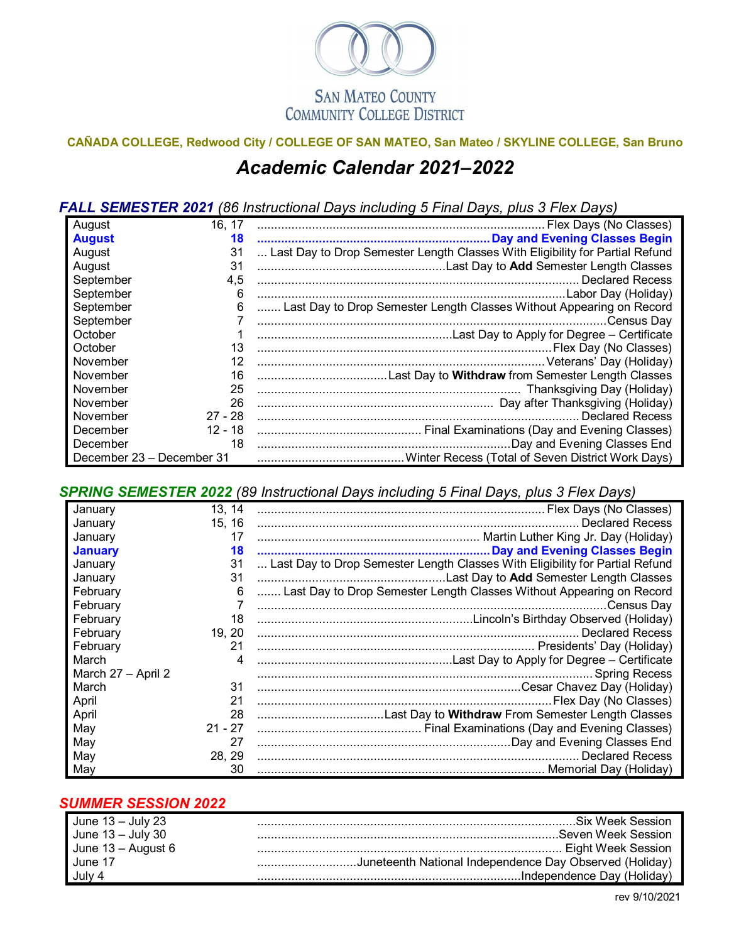

## **CAÑADA COLLEGE, Redwood City / COLLEGE OF SAN MATEO, San Mateo / SKYLINE COLLEGE, San Bruno**

## *Academic Calendar 2021–2022*

*FALL SEMESTER 2021 (86 Instructional Days including 5 Final Days, plus 3 Flex Days)*

| August                    | 16, 17    |                                                                              |
|---------------------------|-----------|------------------------------------------------------------------------------|
| <b>August</b>             | 18        |                                                                              |
| August                    | 31        | Last Day to Drop Semester Length Classes With Eligibility for Partial Refund |
| August                    | 31        |                                                                              |
| September                 | 4,5       |                                                                              |
| September                 | 6         |                                                                              |
| September                 | 6         | Last Day to Drop Semester Length Classes Without Appearing on Record         |
| September                 |           | Census Day                                                                   |
| October                   |           |                                                                              |
| October                   | 13        |                                                                              |
| November                  | 12        |                                                                              |
| November                  | 16        |                                                                              |
| November                  | 25        |                                                                              |
| November                  | 26        |                                                                              |
| November                  | $27 - 28$ | <b>Declared Recess</b>                                                       |
| December                  | $12 - 18$ |                                                                              |
| December                  | 18        |                                                                              |
| December 23 - December 31 |           |                                                                              |

*SPRING SEMESTER 2022 (89 Instructional Days including 5 Final Days, plus 3 Flex Days)*

| January            | 13, 14    |                                                                              |
|--------------------|-----------|------------------------------------------------------------------------------|
| January            | 15, 16    |                                                                              |
| January            | 17        |                                                                              |
| <b>January</b>     | 18        |                                                                              |
| January            | 31        | Last Day to Drop Semester Length Classes With Eligibility for Partial Refund |
| January            | 31        |                                                                              |
| February           | 6         | Last Day to Drop Semester Length Classes Without Appearing on Record         |
| February           |           | .Census Day                                                                  |
| February           | 18        |                                                                              |
| February           | 19, 20    |                                                                              |
| February           | 21        |                                                                              |
| March              | 4         |                                                                              |
| March 27 - April 2 |           |                                                                              |
| March              | 31        |                                                                              |
| April              | 21        |                                                                              |
| April              | 28        |                                                                              |
| May                | $21 - 27$ |                                                                              |
| May                | 27        |                                                                              |
| May                | 28, 29    |                                                                              |
| May                | 30        |                                                                              |

## *SUMMER SESSION 2022*

| June $13 -$ July 23           | Six Week Session                                        |
|-------------------------------|---------------------------------------------------------|
| June 13 - July 30             | - Seven Week Session                                    |
|                               | Eight Week Session                                      |
| June 13 – August 6<br>June 17 | Juneteenth National Independence Day Observed (Holiday) |
| July 4                        |                                                         |